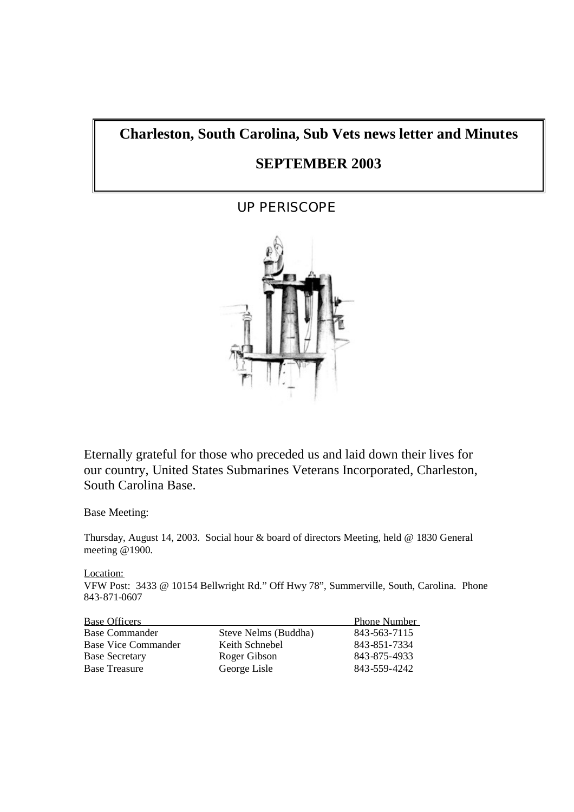# **Charleston, South Carolina, Sub Vets news letter and Minutes**

# **SEPTEMBER 2003**

# UP PERISCOPE



Eternally grateful for those who preceded us and laid down their lives for our country, United States Submarines Veterans Incorporated, Charleston, South Carolina Base.

Base Meeting:

Thursday, August 14, 2003. Social hour & board of directors Meeting, held @ 1830 General meeting @1900.

Location:

VFW Post: 3433 @ 10154 Bellwright Rd." Off Hwy 78", Summerville, South, Carolina. Phone 843-871-0607

| <b>Base Officers</b>       |                      | <b>Phone Number</b> |
|----------------------------|----------------------|---------------------|
| <b>Base Commander</b>      | Steve Nelms (Buddha) | 843-563-7115        |
| <b>Base Vice Commander</b> | Keith Schnebel       | 843-851-7334        |
| <b>Base Secretary</b>      | Roger Gibson         | 843-875-4933        |
| <b>Base Treasure</b>       | George Lisle         | 843-559-4242        |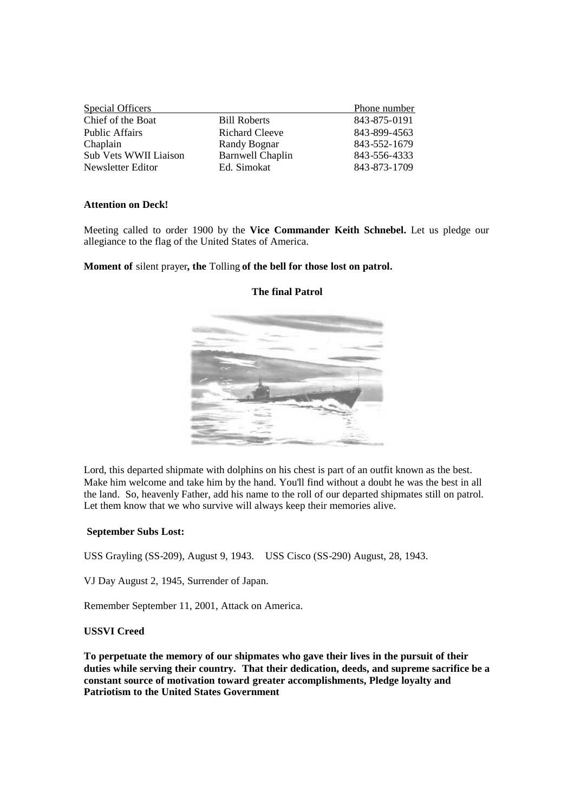|                         | Phone number |
|-------------------------|--------------|
| <b>Bill Roberts</b>     | 843-875-0191 |
| <b>Richard Cleeve</b>   | 843-899-4563 |
| Randy Bognar            | 843-552-1679 |
| <b>Barnwell Chaplin</b> | 843-556-4333 |
| Ed. Simokat             | 843-873-1709 |
|                         |              |

#### **Attention on Deck!**

Meeting called to order 1900 by the **Vice Commander Keith Schnebel.** Let us pledge our allegiance to the flag of the United States of America.

**Moment of** silent prayer**, the** Tolling **of the bell for those lost on patrol.**



# **The final Patrol**

Lord, this departed shipmate with dolphins on his chest is part of an outfit known as the best. Make him welcome and take him by the hand. You'll find without a doubt he was the best in all the land. So, heavenly Father, add his name to the roll of our departed shipmates still on patrol. Let them know that we who survive will always keep their memories alive.

#### **September Subs Lost:**

USS Grayling (SS-209), August 9, 1943. USS Cisco (SS-290) August, 28, 1943.

VJ Day August 2, 1945, Surrender of Japan.

Remember September 11, 2001, Attack on America.

# **USSVI Creed**

**To perpetuate the memory of our shipmates who gave their lives in the pursuit of their duties while serving their country. That their dedication, deeds, and supreme sacrifice be a constant source of motivation toward greater accomplishments, Pledge loyalty and Patriotism to the United States Government**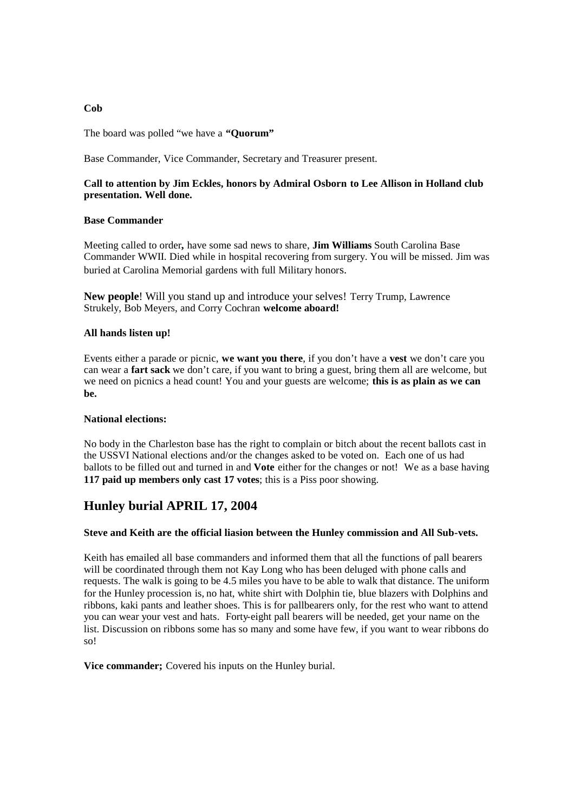# **Cob**

The board was polled "we have a **"Quorum"**

Base Commander, Vice Commander, Secretary and Treasurer present.

# **Call to attention by Jim Eckles, honors by Admiral Osborn to Lee Allison in Holland club presentation. Well done.**

# **Base Commander**

Meeting called to order**,** have some sad news to share, **Jim Williams** South Carolina Base Commander WWII. Died while in hospital recovering from surgery. You will be missed. Jim was buried at Carolina Memorial gardens with full Military honors.

**New people**! Will you stand up and introduce your selves! Terry Trump, Lawrence Strukely, Bob Meyers, and Corry Cochran **welcome aboard!**

# **All hands listen up!**

Events either a parade or picnic, **we want you there**, if you don't have a **vest** we don't care you can wear a **fart sack** we don't care, if you want to bring a guest, bring them all are welcome, but we need on picnics a head count! You and your guests are welcome; **this is as plain as we can be.**

#### **National elections:**

No body in the Charleston base has the right to complain or bitch about the recent ballots cast in the USSVI National elections and/or the changes asked to be voted on. Each one of us had ballots to be filled out and turned in and **Vote** either for the changes or not! We as a base having **117 paid up members only cast 17 votes**; this is a Piss poor showing.

# **Hunley burial APRIL 17, 2004**

# **Steve and Keith are the official liasion between the Hunley commission and All Sub-vets.**

Keith has emailed all base commanders and informed them that all the functions of pall bearers will be coordinated through them not Kay Long who has been deluged with phone calls and requests. The walk is going to be 4.5 miles you have to be able to walk that distance. The uniform for the Hunley procession is, no hat, white shirt with Dolphin tie, blue blazers with Dolphins and ribbons, kaki pants and leather shoes. This is for pallbearers only, for the rest who want to attend you can wear your vest and hats. Forty-eight pall bearers will be needed, get your name on the list. Discussion on ribbons some has so many and some have few, if you want to wear ribbons do so!

**Vice commander;** Covered his inputs on the Hunley burial.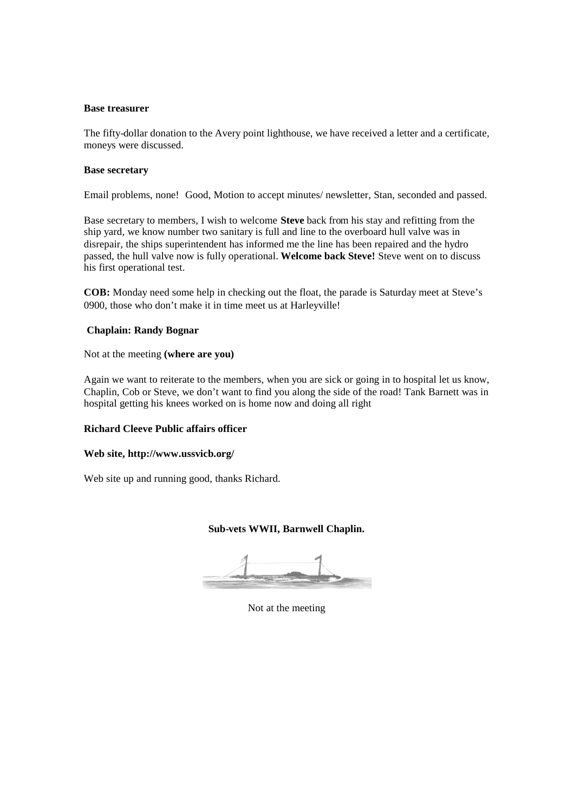#### **Base treasurer**

The fifty-dollar donation to the Avery point lighthouse, we have received a letter and a certificate, moneys were discussed.

#### **Base secretary**

Email problems, none! Good, Motion to accept minutes/ newsletter, Stan, seconded and passed.

Base secretary to members, I wish to welcome **Steve** back from his stay and refitting from the ship yard, we know number two sanitary is full and line to the overboard hull valve was in disrepair, the ships superintendent has informed me the line has been repaired and the hydro passed, the hull valve now is fully operational. **Welcome back Steve!** Steve went on to discuss his first operational test.

**COB:** Monday need some help in checking out the float, the parade is Saturday meet at Steve's 0900, those who don't make it in time meet us at Harleyville!

#### **Chaplain: Randy Bognar**

Not at the meeting **(where are you)**

Again we want to reiterate to the members, when you are sick or going in to hospital let us know, Chaplin, Cob or Steve, we don't want to find you along the side of the road! Tank Barnett was in hospital getting his knees worked on is home now and doing all right

# **Richard Cleeve Public affairs officer**

#### **Web site, http://www.ussvicb.org/**

Web site up and running good, thanks Richard.

# **Sub-vets WWII, Barnwell Chaplin.**

Not at the meeting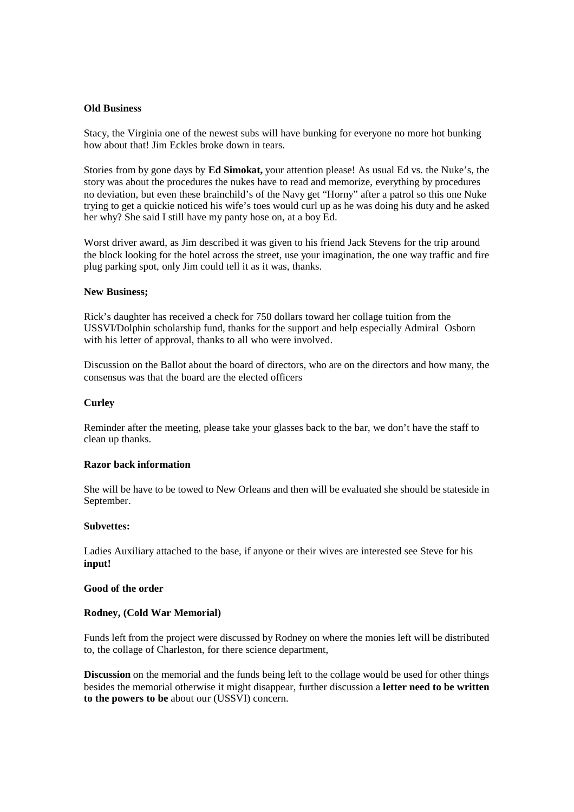#### **Old Business**

Stacy, the Virginia one of the newest subs will have bunking for everyone no more hot bunking how about that! Jim Eckles broke down in tears.

Stories from by gone days by **Ed Simokat,** your attention please! As usual Ed vs. the Nuke's, the story was about the procedures the nukes have to read and memorize, everything by procedures no deviation, but even these brainchild's of the Navy get "Horny" after a patrol so this one Nuke trying to get a quickie noticed his wife's toes would curl up as he was doing his duty and he asked her why? She said I still have my panty hose on, at a boy Ed.

Worst driver award, as Jim described it was given to his friend Jack Stevens for the trip around the block looking for the hotel across the street, use your imagination, the one way traffic and fire plug parking spot, only Jim could tell it as it was, thanks.

#### **New Business;**

Rick's daughter has received a check for 750 dollars toward her collage tuition from the USSVI/Dolphin scholarship fund, thanks for the support and help especially Admiral Osborn with his letter of approval, thanks to all who were involved.

Discussion on the Ballot about the board of directors, who are on the directors and how many, the consensus was that the board are the elected officers

#### **Curley**

Reminder after the meeting, please take your glasses back to the bar, we don't have the staff to clean up thanks.

## **Razor back information**

She will be have to be towed to New Orleans and then will be evaluated she should be stateside in September.

#### **Subvettes:**

Ladies Auxiliary attached to the base, if anyone or their wives are interested see Steve for his **input!**

#### **Good of the order**

#### **Rodney, (Cold War Memorial)**

Funds left from the project were discussed by Rodney on where the monies left will be distributed to, the collage of Charleston, for there science department,

**Discussion** on the memorial and the funds being left to the collage would be used for other things besides the memorial otherwise it might disappear, further discussion a **letter need to be written to the powers to be** about our (USSVI) concern.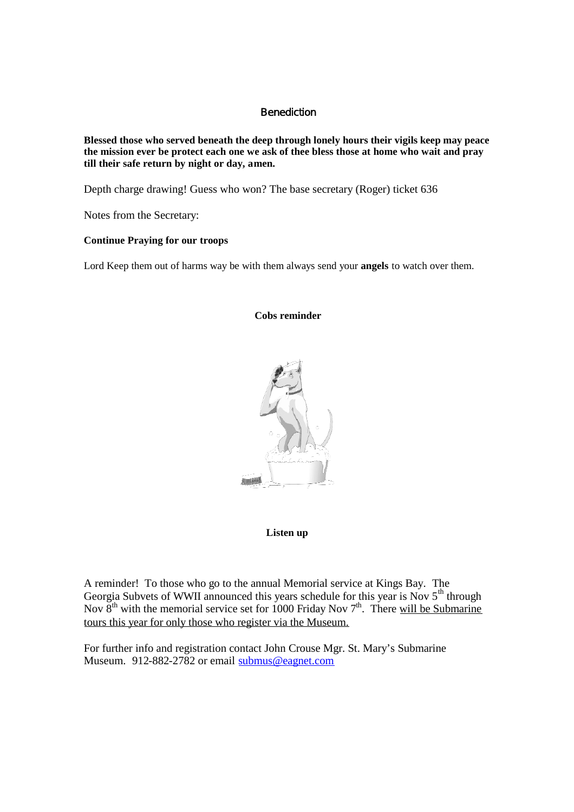# **Benediction**

**Blessed those who served beneath the deep through lonely hours their vigils keep may peace the mission ever be protect each one we ask of thee bless those at home who wait and pray till their safe return by night or day, amen.**

Depth charge drawing! Guess who won? The base secretary (Roger) ticket 636

Notes from the Secretary:

# **Continue Praying for our troops**

Lord Keep them out of harms way be with them always send your **angels** to watch over them.

# **Cobs reminder**



# **Listen up**

A reminder! To those who go to the annual Memorial service at Kings Bay. The Georgia Subvets of WWII announced this years schedule for this year is Nov  $5<sup>th</sup>$  through Nov  $8<sup>th</sup>$  with the memorial service set for 1000 Friday Nov  $7<sup>th</sup>$ . There will be Submarine tours this year for only those who register via the Museum.

For further info and registration contact John Crouse Mgr. St. Mary's Submarine Museum. 912-882-2782 or email submus@eagnet.com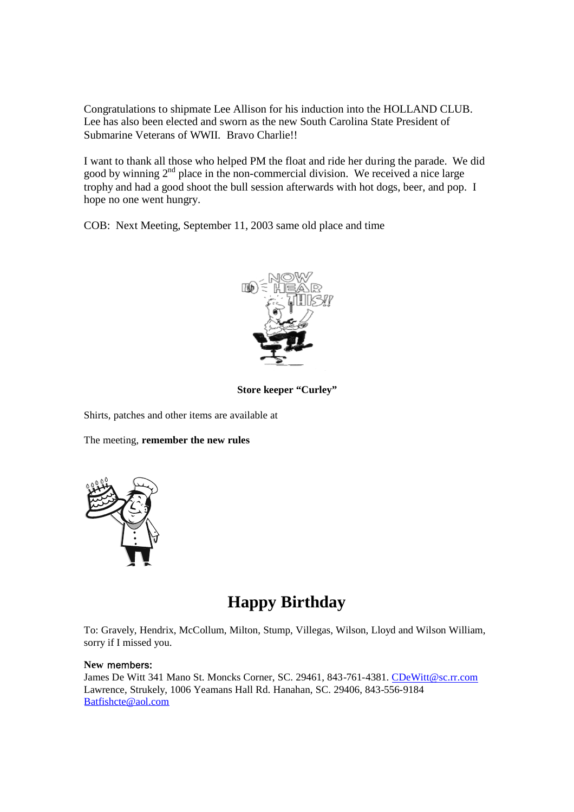Congratulations to shipmate Lee Allison for his induction into the HOLLAND CLUB. Lee has also been elected and sworn as the new South Carolina State President of Submarine Veterans of WWII. Bravo Charlie!!

I want to thank all those who helped PM the float and ride her during the parade. We did good by winning  $2<sup>nd</sup>$  place in the non-commercial division. We received a nice large trophy and had a good shoot the bull session afterwards with hot dogs, beer, and pop. I hope no one went hungry.

COB: Next Meeting, September 11, 2003 same old place and time



**Store keeper "Curley"**

Shirts, patches and other items are available at

The meeting, **remember the new rules**



# **Happy Birthday**

To: Gravely, Hendrix, McCollum, Milton, Stump, Villegas, Wilson, Lloyd and Wilson William, sorry if I missed you.

#### **New** members:

James De Witt 341 Mano St. Moncks Corner, SC. 29461, 843-761-4381. CDeWitt@sc.rr.com Lawrence, Strukely, 1006 Yeamans Hall Rd. Hanahan, SC. 29406, 843-556-9184 Batfishcte@aol.com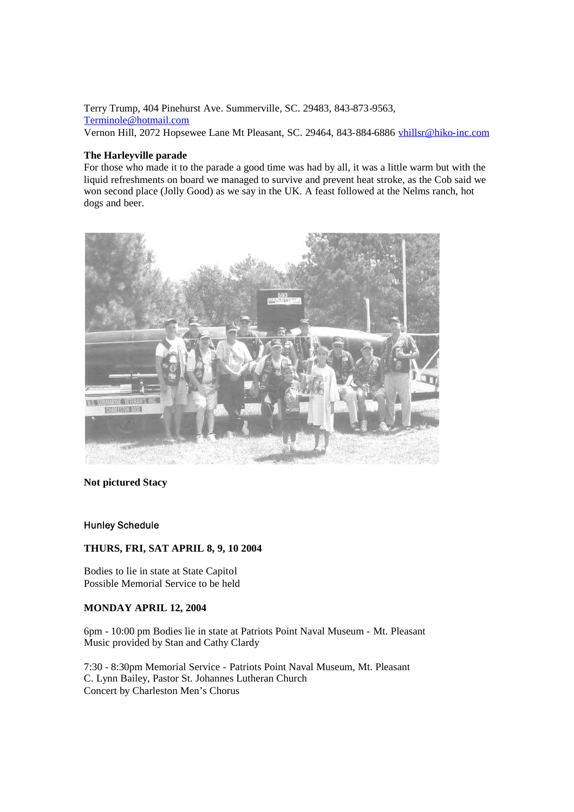Terry Trump, 404 Pinehurst Ave. Summerville, SC. 29483, 843-873-9563, Terminole@hotmail.com Vernon Hill, 2072 Hopsewee Lane Mt Pleasant, SC. 29464, 843-884-6886 vhillsr@hiko-inc.com

#### **The Harleyville parade**

For those who made it to the parade a good time was had by all, it was a little warm but with the liquid refreshments on board we managed to survive and prevent heat stroke, as the Cob said we won second place (Jolly Good) as we say in the UK. A feast followed at the Nelms ranch, hot dogs and beer.



# **Not pictured Stacy**

#### Hunley Schedule

# **THURS, FRI, SAT APRIL 8, 9, 10 2004**

Bodies to lie in state at State Capitol Possible Memorial Service to be held

# **MONDAY APRIL 12, 2004**

6pm - 10:00 pm Bodies lie in state at Patriots Point Naval Museum - Mt. Pleasant Music provided by Stan and Cathy Clardy

7:30 - 8:30pm Memorial Service - Patriots Point Naval Museum, Mt. Pleasant C. Lynn Bailey, Pastor St. Johannes Lutheran Church Concert by Charleston Men's Chorus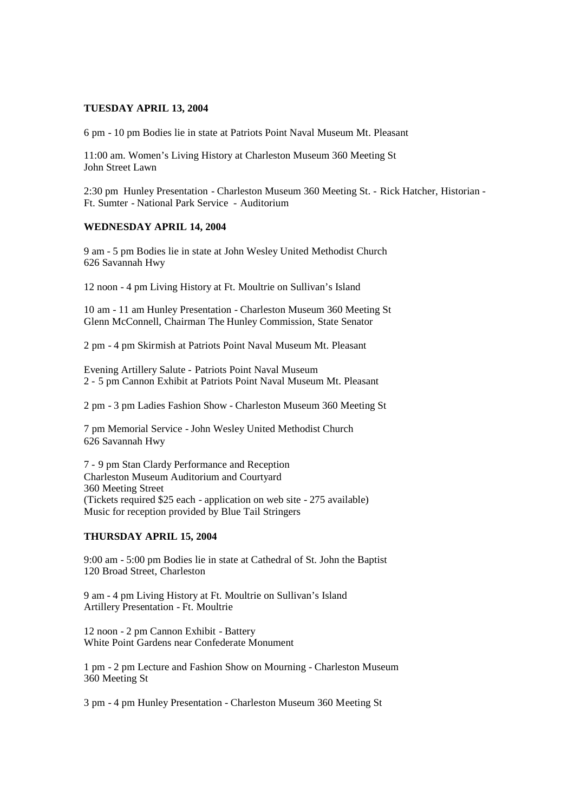#### **TUESDAY APRIL 13, 2004**

6 pm - 10 pm Bodies lie in state at Patriots Point Naval Museum Mt. Pleasant

11:00 am. Women's Living History at Charleston Museum 360 Meeting St John Street Lawn

2:30 pm Hunley Presentation - Charleston Museum 360 Meeting St. - Rick Hatcher, Historian - Ft. Sumter - National Park Service - Auditorium

#### **WEDNESDAY APRIL 14, 2004**

9 am - 5 pm Bodies lie in state at John Wesley United Methodist Church 626 Savannah Hwy

12 noon - 4 pm Living History at Ft. Moultrie on Sullivan's Island

10 am - 11 am Hunley Presentation - Charleston Museum 360 Meeting St Glenn McConnell, Chairman The Hunley Commission, State Senator

2 pm - 4 pm Skirmish at Patriots Point Naval Museum Mt. Pleasant

Evening Artillery Salute - Patriots Point Naval Museum 2 - 5 pm Cannon Exhibit at Patriots Point Naval Museum Mt. Pleasant

2 pm - 3 pm Ladies Fashion Show - Charleston Museum 360 Meeting St

7 pm Memorial Service - John Wesley United Methodist Church 626 Savannah Hwy

7 - 9 pm Stan Clardy Performance and Reception Charleston Museum Auditorium and Courtyard 360 Meeting Street (Tickets required \$25 each - application on web site - 275 available) Music for reception provided by Blue Tail Stringers

#### **THURSDAY APRIL 15, 2004**

9:00 am - 5:00 pm Bodies lie in state at Cathedral of St. John the Baptist 120 Broad Street, Charleston

9 am - 4 pm Living History at Ft. Moultrie on Sullivan's Island Artillery Presentation - Ft. Moultrie

12 noon - 2 pm Cannon Exhibit - Battery White Point Gardens near Confederate Monument

1 pm - 2 pm Lecture and Fashion Show on Mourning - Charleston Museum 360 Meeting St

3 pm - 4 pm Hunley Presentation - Charleston Museum 360 Meeting St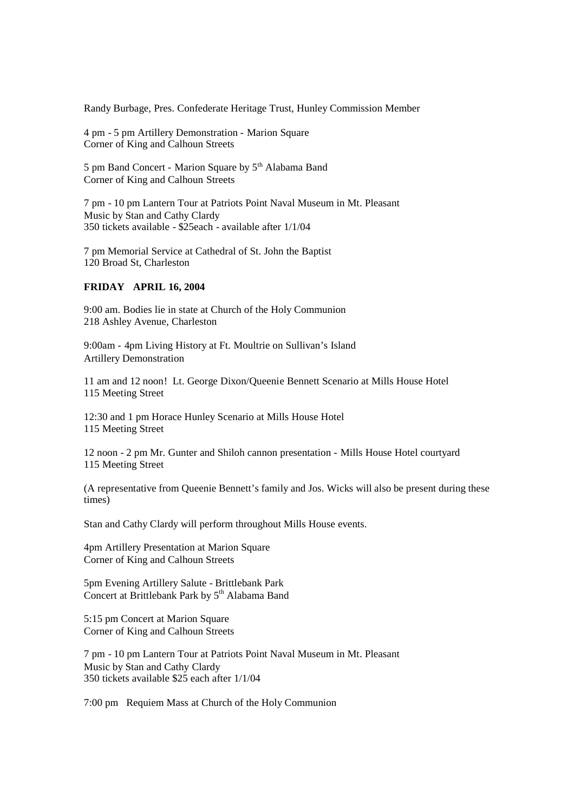Randy Burbage, Pres. Confederate Heritage Trust, Hunley Commission Member

4 pm - 5 pm Artillery Demonstration - Marion Square Corner of King and Calhoun Streets

5 pm Band Concert - Marion Square by 5<sup>th</sup> Alabama Band Corner of King and Calhoun Streets

7 pm - 10 pm Lantern Tour at Patriots Point Naval Museum in Mt. Pleasant Music by Stan and Cathy Clardy 350 tickets available - \$25each - available after 1/1/04

7 pm Memorial Service at Cathedral of St. John the Baptist 120 Broad St, Charleston

# **FRIDAY APRIL 16, 2004**

9:00 am. Bodies lie in state at Church of the Holy Communion 218 Ashley Avenue, Charleston

9:00am - 4pm Living History at Ft. Moultrie on Sullivan's Island Artillery Demonstration

11 am and 12 noon! Lt. George Dixon/Queenie Bennett Scenario at Mills House Hotel 115 Meeting Street

12:30 and 1 pm Horace Hunley Scenario at Mills House Hotel 115 Meeting Street

12 noon - 2 pm Mr. Gunter and Shiloh cannon presentation - Mills House Hotel courtyard 115 Meeting Street

(A representative from Queenie Bennett's family and Jos. Wicks will also be present during these times)

Stan and Cathy Clardy will perform throughout Mills House events.

4pm Artillery Presentation at Marion Square Corner of King and Calhoun Streets

5pm Evening Artillery Salute - Brittlebank Park Concert at Brittlebank Park by  $5<sup>th</sup>$  Alabama Band

5:15 pm Concert at Marion Square Corner of King and Calhoun Streets

7 pm - 10 pm Lantern Tour at Patriots Point Naval Museum in Mt. Pleasant Music by Stan and Cathy Clardy 350 tickets available \$25 each after 1/1/04

7:00 pm Requiem Mass at Church of the Holy Communion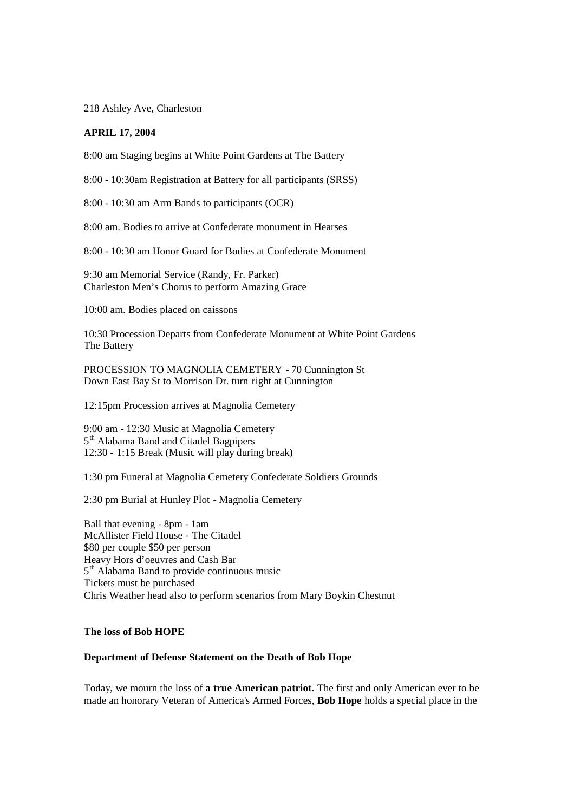218 Ashley Ave, Charleston

#### **APRIL 17, 2004**

8:00 am Staging begins at White Point Gardens at The Battery

8:00 - 10:30am Registration at Battery for all participants (SRSS)

8:00 - 10:30 am Arm Bands to participants (OCR)

8:00 am. Bodies to arrive at Confederate monument in Hearses

8:00 - 10:30 am Honor Guard for Bodies at Confederate Monument

9:30 am Memorial Service (Randy, Fr. Parker) Charleston Men's Chorus to perform Amazing Grace

10:00 am. Bodies placed on caissons

10:30 Procession Departs from Confederate Monument at White Point Gardens The Battery

PROCESSION TO MAGNOLIA CEMETERY - 70 Cunnington St Down East Bay St to Morrison Dr. turn right at Cunnington

12:15pm Procession arrives at Magnolia Cemetery

9:00 am - 12:30 Music at Magnolia Cemetery 5<sup>th</sup> Alabama Band and Citadel Bagpipers 12:30 - 1:15 Break (Music will play during break)

1:30 pm Funeral at Magnolia Cemetery Confederate Soldiers Grounds

2:30 pm Burial at Hunley Plot - Magnolia Cemetery

Ball that evening - 8pm - 1am McAllister Field House - The Citadel \$80 per couple \$50 per person Heavy Hors d'oeuvres and Cash Bar 5<sup>th</sup> Alabama Band to provide continuous music Tickets must be purchased Chris Weather head also to perform scenarios from Mary Boykin Chestnut

#### **The loss of Bob HOPE**

#### **Department of Defense Statement on the Death of Bob Hope**

Today, we mourn the loss of **a true American patriot.** The first and only American ever to be made an honorary Veteran of America's Armed Forces, **Bob Hope** holds a special place in the